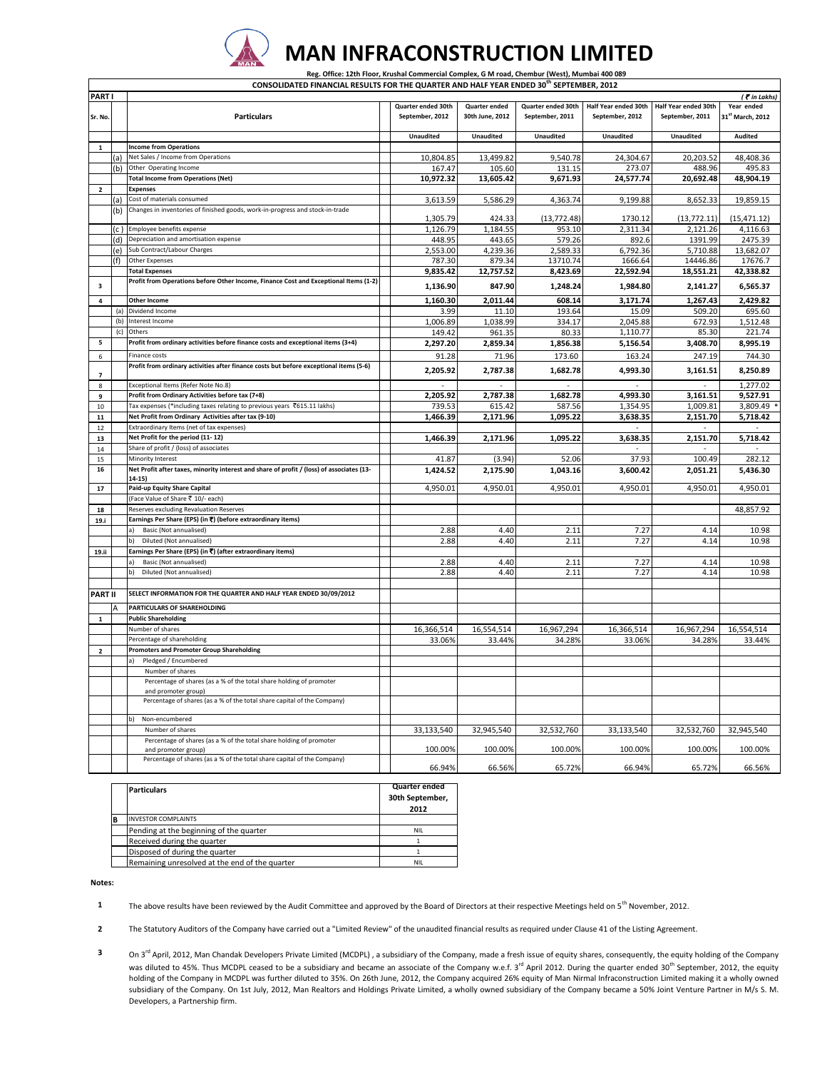

**CONSOLIDATED FINANCIAL RESULTS FOR THE QUARTER AND HALF YEAR ENDED 30th SEPTEMBER, 2012**

 **Reg. Office: 12th Floor, Krushal Commercial Complex, G M road, Chembur (West), Mumbai 400 089** 

| <b>PARTI</b>            |      |                                                                                            |                    |                      |                    |                      |                          | ( Tin Lakhs)     |
|-------------------------|------|--------------------------------------------------------------------------------------------|--------------------|----------------------|--------------------|----------------------|--------------------------|------------------|
|                         |      |                                                                                            | Quarter ended 30th | <b>Ouarter ended</b> | Quarter ended 30th | Half Year ended 30th | Half Year ended 30th     | Year ended       |
| Sr. No.                 |      | <b>Particulars</b>                                                                         | September, 2012    | 30th June, 2012      | September, 2011    | September, 2012      | September, 2011          | 31st March, 2012 |
|                         |      |                                                                                            |                    |                      |                    |                      |                          |                  |
|                         |      |                                                                                            | Unaudited          | <b>Unaudited</b>     | Unaudited          | <b>Unaudited</b>     | Unaudited                | Audited          |
| $\mathbf{1}$            |      | <b>Income from Operations</b>                                                              |                    |                      |                    |                      |                          |                  |
|                         |      | Net Sales / Income from Operations                                                         | 10,804.85          | 13,499.82            | 9,540.78           | 24,304.67            | 20,203.52                | 48,408.36        |
|                         | (a)  | Other Operating Income                                                                     |                    |                      |                    | 273.07               |                          |                  |
|                         | (b)  |                                                                                            | 167.47             | 105.60               | 131.15             |                      | 488.96                   | 495.83           |
|                         |      | <b>Total Income from Operations (Net)</b>                                                  | 10,972.32          | 13,605.42            | 9,671.93           | 24,577.74            | 20,692.48                | 48,904.19        |
| $\overline{2}$          |      | <b>Expenses</b>                                                                            |                    |                      |                    |                      |                          |                  |
|                         | (a)  | Cost of materials consumed                                                                 | 3,613.59           | 5,586.29             | 4,363.74           | 9,199.88             | 8,652.33                 | 19,859.15        |
|                         | (b)  | Changes in inventories of finished goods, work-in-progress and stock-in-trade              |                    |                      |                    | 1730.12              |                          |                  |
|                         |      |                                                                                            | 1,305.79           | 424.33               | (13, 772.48)       |                      | (13, 772.11)             | (15, 471.12)     |
|                         | (c ) | Employee benefits expense                                                                  | 1,126.79           | 1,184.55             | 953.10             | 2,311.34             | 2,121.26                 | 4,116.63         |
|                         | (d)  | Depreciation and amortisation expense                                                      | 448.95             | 443.65               | 579.26             | 892.6                | 1391.99                  | 2475.39          |
|                         | (e)  | Sub Contract/Labour Charges                                                                | 2,553.00           | 4,239.36             | 2,589.33           | 6,792.36             | 5,710.88                 | 13,682.07        |
|                         | (f)  | Other Expenses                                                                             | 787.30             | 879.34               | 13710.74           | 1666.64              | 14446.86                 | 17676.7          |
|                         |      | <b>Total Expenses</b>                                                                      | 9,835.42           | 12,757.52            | 8,423.69           | 22,592.94            | 18,551.21                | 42,338.82        |
| $\overline{\mathbf{3}}$ |      | Profit from Operations before Other Income, Finance Cost and Exceptional Items (1-2)       | 1,136.90           | 847.90               | 1,248.24           | 1,984.80             | 2,141.27                 | 6,565.37         |
|                         |      |                                                                                            |                    |                      |                    |                      |                          |                  |
| $\overline{a}$          |      | <b>Other Income</b>                                                                        | 1,160.30           | 2,011.44             | 608.14             | 3,171.74             | 1,267.43                 | 2,429.82         |
|                         | (a)  | Dividend Income                                                                            | 3.99               | 11.10                | 193.64             | 15.09                | 509.20                   | 695.60           |
|                         | (b)  | Interest Income                                                                            | 1,006.89           | 1,038.99             | 334.17             | 2,045.88             | 672.93                   | 1,512.48         |
|                         | (c)  | Others                                                                                     | 149.42             | 961.35               | 80.33              | 1,110.77             | 85.30                    | 221.74           |
| 5                       |      | Profit from ordinary activities before finance costs and exceptional items (3+4)           | 2.297.20           | 2.859.34             | 1.856.38           | 5.156.54             | 3,408.70                 | 8.995.19         |
| 6                       |      | Finance costs                                                                              | 91.28              | 71.96                | 173.60             | 163.24               | 247.19                   | 744.30           |
|                         |      | Profit from ordinary activities after finance costs but before exceptional items (5-6)     | 2,205.92           | 2,787.38             | 1,682.78           | 4,993.30             | 3,161.51                 | 8,250.89         |
|                         |      |                                                                                            |                    |                      |                    |                      |                          |                  |
| 8                       |      | Exceptional Items (Refer Note No.8)                                                        |                    |                      |                    |                      |                          | 1,277.02         |
| 9                       |      | Profit from Ordinary Activities before tax (7+8)                                           | 2,205.92           | 2,787.38             | 1,682.78           | 4,993.30             | 3,161.51                 | 9,527.91         |
| 10                      |      | Tax expenses (*including taxes relating to previous years ₹615.11 lakhs)                   | 739.53             | 615.42               | 587.56             | 1,354.95             | 1,009.81                 | 3,809.49         |
| ${\bf 11}$              |      | Net Profit from Ordinary Activities after tax (9-10)                                       | 1,466.39           | 2,171.96             | 1,095.22           | 3,638.35             | 2,151.70                 | 5,718.42         |
| 12                      |      | Extraordinary Items (net of tax expenses)                                                  |                    |                      |                    |                      | $\overline{\phantom{a}}$ |                  |
| 13                      |      | Net Profit for the period (11-12)                                                          | 1,466.39           | 2,171.96             | 1,095.22           | 3,638.35             | 2,151.70                 | 5,718.42         |
| 14                      |      | Share of profit / (loss) of associates                                                     |                    |                      |                    |                      |                          |                  |
| 15                      |      | Minority Interest                                                                          | 41.87              | (3.94)               | 52.06              | 37.93                | 100.49                   | 282.12           |
| 16                      |      | Net Profit after taxes, minority interest and share of profit / (loss) of associates (13-  | 1,424.52           | 2,175.90             | 1,043.16           | 3,600.42             | 2,051.21                 | 5,436.30         |
|                         |      | $14 - 15$                                                                                  |                    |                      |                    |                      |                          |                  |
| ${\bf 17}$              |      | Paid-up Equity Share Capital                                                               | 4,950.01           | 4,950.01             | 4,950.01           | 4,950.01             | 4,950.01                 | 4,950.01         |
|                         |      | (Face Value of Share ₹ 10/- each)                                                          |                    |                      |                    |                      |                          |                  |
| 18                      |      | Reserves excluding Revaluation Reserves                                                    |                    |                      |                    |                      |                          | 48,857.92        |
| 19.i                    |      | Earnings Per Share (EPS) (in ₹) (before extraordinary items)                               |                    |                      |                    |                      |                          |                  |
|                         |      | Basic (Not annualised)                                                                     | 2.88               | 4.40                 | 2.11               | 7.27                 | 4.14                     | 10.98            |
|                         |      | Diluted (Not annualised)<br>b)                                                             | 2.88               | 4.40                 | 2.11               | 7.27                 | 4.14                     | 10.98            |
| 19.ii                   |      | Earnings Per Share (EPS) (in ₹) (after extraordinary items)                                |                    |                      |                    |                      |                          |                  |
|                         |      | Basic (Not annualised)                                                                     | 2.88               | 4.40                 | 2.11               | 7.27                 | 4.14                     | 10.98            |
|                         |      | Diluted (Not annualised)<br>b)                                                             | 2.88               | 4.40                 | 2.11               | 7.27                 | 4.14                     | 10.98            |
|                         |      |                                                                                            |                    |                      |                    |                      |                          |                  |
| <b>PART II</b>          |      | SELECT INFORMATION FOR THE QUARTER AND HALF YEAR ENDED 30/09/2012                          |                    |                      |                    |                      |                          |                  |
|                         |      | PARTICULARS OF SHAREHOLDING                                                                |                    |                      |                    |                      |                          |                  |
| $\mathbf{1}$            |      | <b>Public Shareholding</b>                                                                 |                    |                      |                    |                      |                          |                  |
|                         |      | Number of shares                                                                           | 16,366,514         | 16,554,514           | 16,967,294         | 16,366,514           | 16,967,294               | 16,554,514       |
|                         |      | Percentage of shareholding                                                                 | 33.06%             | 33.44%               | 34.28%             | 33.06%               | 34.28%                   | 33.44%           |
| $\mathbf 2$             |      | <b>Promoters and Promoter Group Shareholding</b>                                           |                    |                      |                    |                      |                          |                  |
|                         |      | Pledged / Encumbered                                                                       |                    |                      |                    |                      |                          |                  |
|                         |      | Number of shares                                                                           |                    |                      |                    |                      |                          |                  |
|                         |      | Percentage of shares (as a % of the total share holding of promoter                        |                    |                      |                    |                      |                          |                  |
|                         |      | and promoter group)                                                                        |                    |                      |                    |                      |                          |                  |
|                         |      | Percentage of shares (as a % of the total share capital of the Company)                    |                    |                      |                    |                      |                          |                  |
|                         |      |                                                                                            |                    |                      |                    |                      |                          |                  |
|                         |      | b)<br>Non-encumbered                                                                       |                    |                      |                    |                      |                          |                  |
|                         |      | Number of shares                                                                           | 33,133,540         | 32,945,540           | 32,532,760         | 33,133,540           | 32,532,760               | 32,945,540       |
|                         |      | Percentage of shares (as a % of the total share holding of promoter<br>and promoter group) | 100.00%            | 100.00%              | 100.00%            | 100.00%              | 100.00%                  | 100.00%          |
|                         |      | Percentage of shares (as a % of the total share capital of the Company)                    |                    |                      |                    |                      |                          |                  |
|                         |      |                                                                                            | 66.94%             | 66.56%               | 65.72%             | 66.94%               | 65.72%                   | 66.56%           |

| <b>Particulars</b>                             | Quarter ended<br>30th September,<br>2012 |
|------------------------------------------------|------------------------------------------|
| <b>INVESTOR COMPLAINTS</b>                     |                                          |
| Pending at the beginning of the quarter        | <b>NIL</b>                               |
| Received during the quarter                    |                                          |
| Disposed of during the quarter                 |                                          |
| Remaining unresolved at the end of the quarter | <b>NII</b>                               |

**Notes:**

**1** The above results have been reviewed by the Audit Committee and approved by the Board of Directors at their respective Meetings held on 5<sup>th</sup> November, 2012.

**2** The Statutory Auditors of the Company have carried out a "Limited Review" of the unaudited financial results as required under Clause 41 of the Listing Agreement.

**3** On 3<sup>rd</sup> April, 2012, Man Chandak Developers Private Limited (MCDPL) , a subsidiary of the Company, made a fresh issue of equity shares, consequently, the equity holding of the Company was diluted to 45%. Thus MCDPL ceased to be a subsidiary and became an associate of the Company w.e.f. 3<sup>rd</sup> April 2012. During the quarter ended 30<sup>th</sup> September, 2012, the equity holding of the Company in MCDPL was further diluted to 35%. On 26th June, 2012, the Company acquired 26% equity of Man Nirmal Infraconstruction Limited making it a wholly owned subsidiary of the Company. On 1st July, 2012, Man Realtors and Holdings Private Limited, a wholly owned subsidiary of the Company became a 50% Joint Venture Partner in M/s S. M. Developers, a Partnership firm.